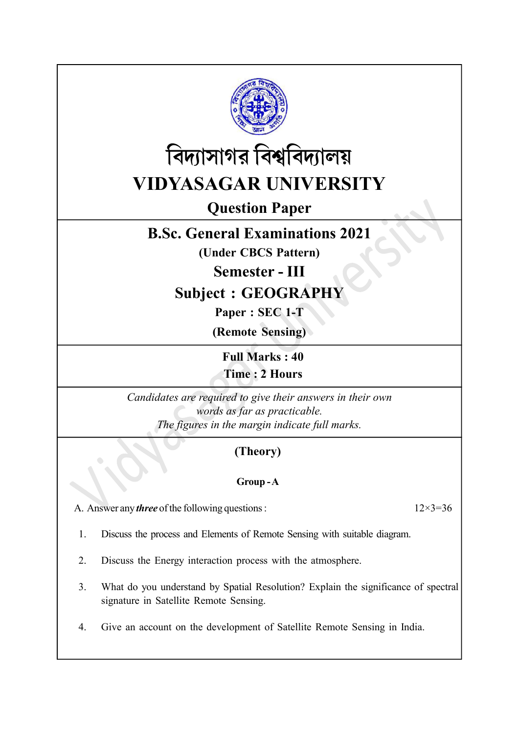



# Question Paper

# B.Sc. General Examinations 2021

(Under CBCS Pattern)

Semester - III

# Subject : GEOGRAPHY

Paper : SEC 1-T

(Remote Sensing)

Full Marks : 40 Time : 2 Hours

Candidates are required to give their answers in their own words as far as practicable. The figures in the margin indicate full marks.

# (Theory)

### Group - A

A. Answer any *three* of the following questions :  $12 \times 3 = 36$ 

- 1. Discuss the process and Elements of Remote Sensing with suitable diagram.
- 2. Discuss the Energy interaction process with the atmosphere.
- 3. What do you understand by Spatial Resolution? Explain the significance of spectral signature in Satellite Remote Sensing.
- 4. Give an account on the development of Satellite Remote Sensing in India.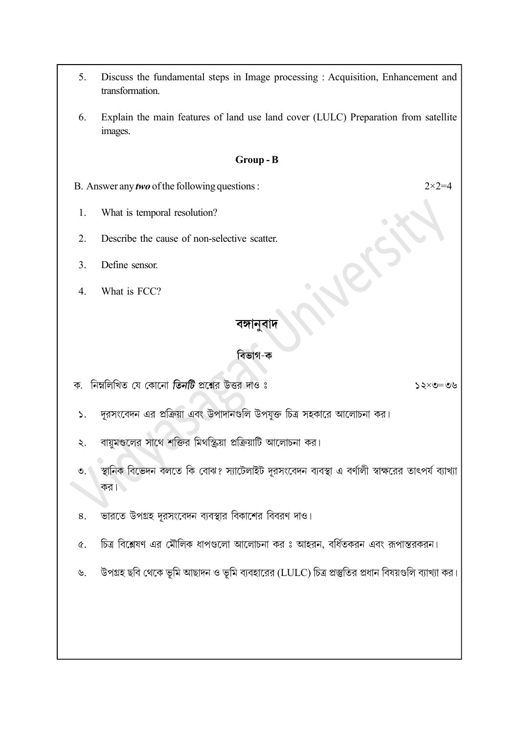- 5. Discuss the fundamental steps in Image processing : Acquisition, Enhancement and transformation.
- 6. Explain the main features of land use land cover (LULC) Preparation from satellite images.

#### Group - B

B. Answer any *two* of the following questions :  $2 \times 2 = 4$ 

- 1. What is temporal resolution?
- 2. Describe the cause of non-selective scatter.
- 3. Define sensor.
- 4. What is FCC?

 $\mathcal{L}$ .

### বঙ্গানুবাদ

### বিভাগ-ক

- ক. নিম্নলিখিত যে কোনো **তিনটি** প্রশ্নের উত্তর দাও ঃ
	- দূরসংবেদন এর প্রক্রিয়া এবং উপাদানগুলি উপযুক্ত চিত্র সহকারে আলোচনা কর।
	- বায়ুমণ্ডলের সাথে শক্তির মিথস্ক্রিয়া প্রক্রিয়াটি আলোচনা কর।  $\lambda$ .
	- স্থানিক বিভেদন বলতে কি বোঝ? স্যাটেলাইট দুরসংবেদন ব্যবস্থা এ বর্ণালী স্বাক্ষরের তাৎপর্য ব্যাখ্যা  $\bullet$ . কর। $\blacksquare$
	- ভারতে উপগ্রহ দুরসংবেদন ব্যবস্থার বিকাশের বিবরণ দাও। 8.
	- চিত্র বিশ্লেষণ এর মৌলিক ধাপগুলো আলোচনা কর ঃ আহরন, বর্ধিতকরন এবং রূপান্তরকরন।  $\alpha$ .
	- উপগ্রহ ছবি থেকে ভূমি আছাদন ও ভূমি ব্যবহারের (LULC) চিত্র প্রস্তুতির প্রধান বিষয়গুলি ব্যাখ্যা কর।  $\mathcal{P}$ .

 $20 = 20 \times 52$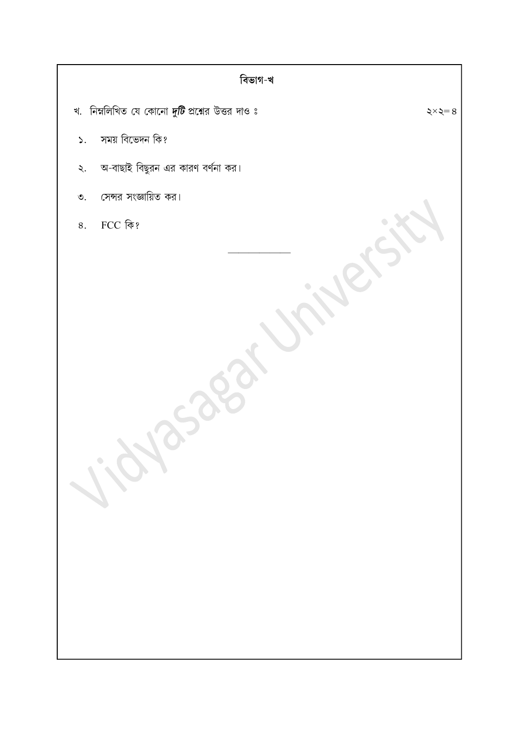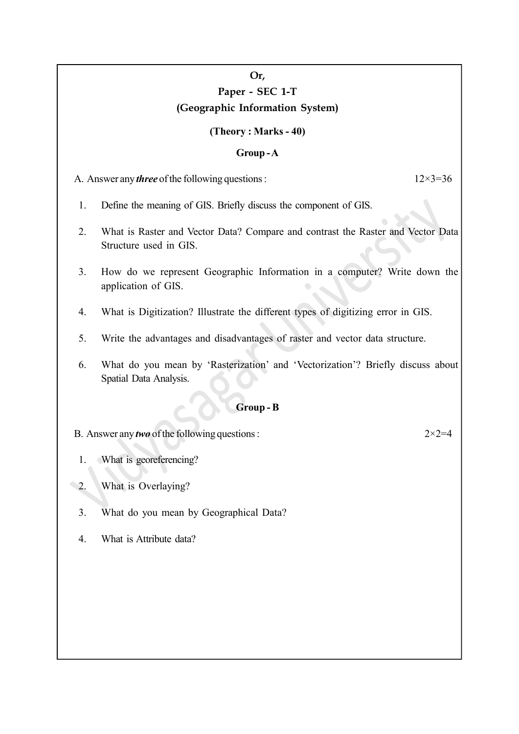## Or, Paper - SEC 1-T (Geographic Information System)

#### (Theory : Marks - 40)

#### Group - A

A. Answer any *three* of the following questions :  $12 \times 3 = 36$ 

- 1. Define the meaning of GIS. Briefly discuss the component of GIS.
- 2. What is Raster and Vector Data? Compare and contrast the Raster and Vector Data Structure used in GIS.
- 3. How do we represent Geographic Information in a computer? Write down the application of GIS.
- 4. What is Digitization? Illustrate the different types of digitizing error in GIS.
- 5. Write the advantages and disadvantages of raster and vector data structure.
- 6. What do you mean by 'Rasterization' and 'Vectorization'? Briefly discuss about Spatial Data Analysis.

### Group - B

B. Answer any *two* of the following questions :  $2 \times 2 = 4$ 

- 1. What is georeferencing?
- 2. What is Overlaying?
- 3. What do you mean by Geographical Data?
- 4. What is Attribute data?